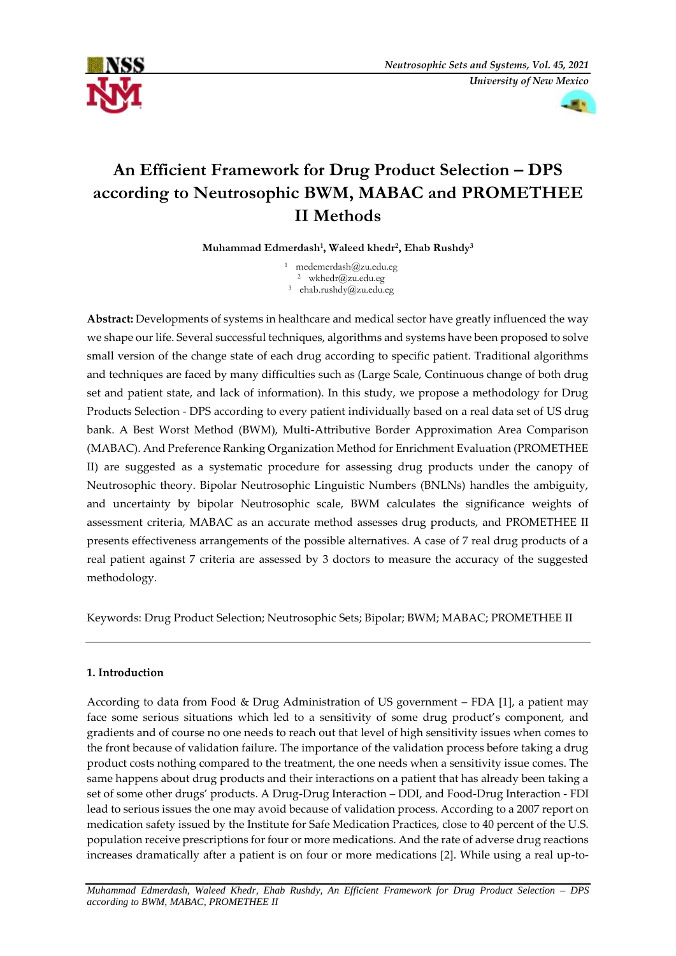



# **An Efficient Framework for Drug Product Selection – DPS according to Neutrosophic BWM, MABAC and PROMETHEE II Methods**

**Muhammad Edmerdash<sup>1</sup> , Waleed khedr<sup>2</sup> , Ehab Rushdy<sup>3</sup>**

<sup>1</sup> [medemerdash@zu.edu.eg](mailto:medemerdash@zu.edu.eg) <sup>2</sup> [wkhedr@zu.edu.eg](mailto:wkhedr@zu.edu.eg) <sup>3</sup> [ehab.rushdy@zu.edu.eg](mailto:ehab.rushdy@zu.edu.eg)

**Abstract:** Developments of systems in healthcare and medical sector have greatly influenced the way we shape our life. Several successful techniques, algorithms and systems have been proposed to solve small version of the change state of each drug according to specific patient. Traditional algorithms and techniques are faced by many difficulties such as (Large Scale, Continuous change of both drug set and patient state, and lack of information). In this study, we propose a methodology for Drug Products Selection - DPS according to every patient individually based on a real data set of US drug bank. A Best Worst Method (BWM), Multi-Attributive Border Approximation Area Comparison (MABAC). And Preference Ranking Organization Method for Enrichment Evaluation (PROMETHEE II) are suggested as a systematic procedure for assessing drug products under the canopy of Neutrosophic theory. Bipolar Neutrosophic Linguistic Numbers (BNLNs) handles the ambiguity, and uncertainty by bipolar Neutrosophic scale, BWM calculates the significance weights of assessment criteria, MABAC as an accurate method assesses drug products, and PROMETHEE II presents effectiveness arrangements of the possible alternatives. A case of 7 real drug products of a real patient against 7 criteria are assessed by 3 doctors to measure the accuracy of the suggested methodology.

Keywords: Drug Product Selection; Neutrosophic Sets; Bipolar; BWM; MABAC; PROMETHEE II

# **1. Introduction**

According to data from Food & Drug Administration of US government – FDA [1], a patient may face some serious situations which led to a sensitivity of some drug product's component, and gradients and of course no one needs to reach out that level of high sensitivity issues when comes to the front because of validation failure. The importance of the validation process before taking a drug product costs nothing compared to the treatment, the one needs when a sensitivity issue comes. The same happens about drug products and their interactions on a patient that has already been taking a set of some other drugs' products. A Drug-Drug Interaction – DDI, and Food-Drug Interaction - FDI lead to serious issues the one may avoid because of validation process. According to a 2007 report on medication safety issued by the Institute for Safe Medication Practices, close to 40 percent of the U.S. population receive prescriptions for four or more medications. And the rate of adverse drug reactions increases dramatically after a patient is on four or more medications [2]. While using a real up-to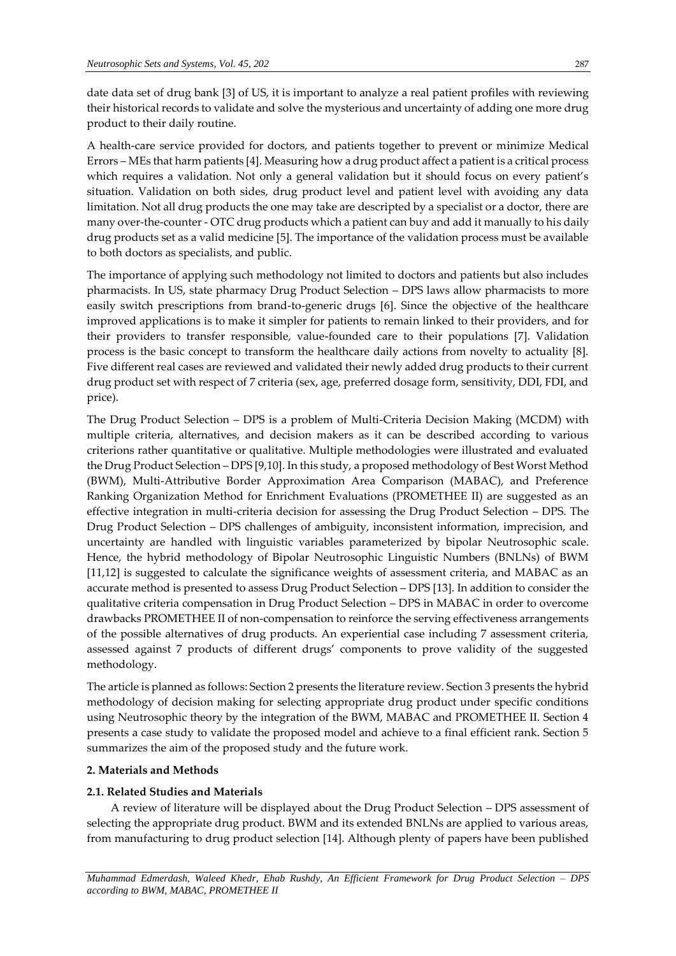date data set of drug bank [3] of US, it is important to analyze a real patient profiles with reviewing their historical records to validate and solve the mysterious and uncertainty of adding one more drug product to their daily routine.

A health-care service provided for doctors, and patients together to prevent or minimize Medical Errors – MEs that harm patients [4]. Measuring how a drug product affect a patient is a critical process which requires a validation. Not only a general validation but it should focus on every patient's situation. Validation on both sides, drug product level and patient level with avoiding any data limitation. Not all drug products the one may take are descripted by a specialist or a doctor, there are many over-the-counter - OTC drug products which a patient can buy and add it manually to his daily drug products set as a valid medicine [5]. The importance of the validation process must be available to both doctors as specialists, and public.

The importance of applying such methodology not limited to doctors and patients but also includes pharmacists. In US, state pharmacy Drug Product Selection – DPS laws allow pharmacists to more easily switch prescriptions from brand-to-generic drugs [6]. Since the objective of the healthcare improved applications is to make it simpler for patients to remain linked to their providers, and for their providers to transfer responsible, value-founded care to their populations [7]. Validation process is the basic concept to transform the healthcare daily actions from novelty to actuality [8]. Five different real cases are reviewed and validated their newly added drug products to their current drug product set with respect of 7 criteria (sex, age, preferred dosage form, sensitivity, DDI, FDI, and price).

The Drug Product Selection – DPS is a problem of Multi-Criteria Decision Making (MCDM) with multiple criteria, alternatives, and decision makers as it can be described according to various criterions rather quantitative or qualitative. Multiple methodologies were illustrated and evaluated the Drug Product Selection – DPS [9,10]. In this study, a proposed methodology of Best Worst Method (BWM), Multi-Attributive Border Approximation Area Comparison (MABAC), and Preference Ranking Organization Method for Enrichment Evaluations (PROMETHEE II) are suggested as an effective integration in multi-criteria decision for assessing the Drug Product Selection – DPS. The Drug Product Selection – DPS challenges of ambiguity, inconsistent information, imprecision, and uncertainty are handled with linguistic variables parameterized by bipolar Neutrosophic scale. Hence, the hybrid methodology of Bipolar Neutrosophic Linguistic Numbers (BNLNs) of BWM [11,12] is suggested to calculate the significance weights of assessment criteria, and MABAC as an accurate method is presented to assess Drug Product Selection – DPS [13]. In addition to consider the qualitative criteria compensation in Drug Product Selection – DPS in MABAC in order to overcome drawbacks PROMETHEE II of non-compensation to reinforce the serving effectiveness arrangements of the possible alternatives of drug products. An experiential case including 7 assessment criteria, assessed against 7 products of different drugs' components to prove validity of the suggested methodology.

The article is planned as follows: Section 2 presents the literature review. Section 3 presents the hybrid methodology of decision making for selecting appropriate drug product under specific conditions using Neutrosophic theory by the integration of the BWM, MABAC and PROMETHEE II. Section 4 presents a case study to validate the proposed model and achieve to a final efficient rank. Section 5 summarizes the aim of the proposed study and the future work.

# **2. Materials and Methods**

# **2.1. Related Studies and Materials**

A review of literature will be displayed about the Drug Product Selection – DPS assessment of selecting the appropriate drug product. BWM and its extended BNLNs are applied to various areas, from manufacturing to drug product selection [14]. Although plenty of papers have been published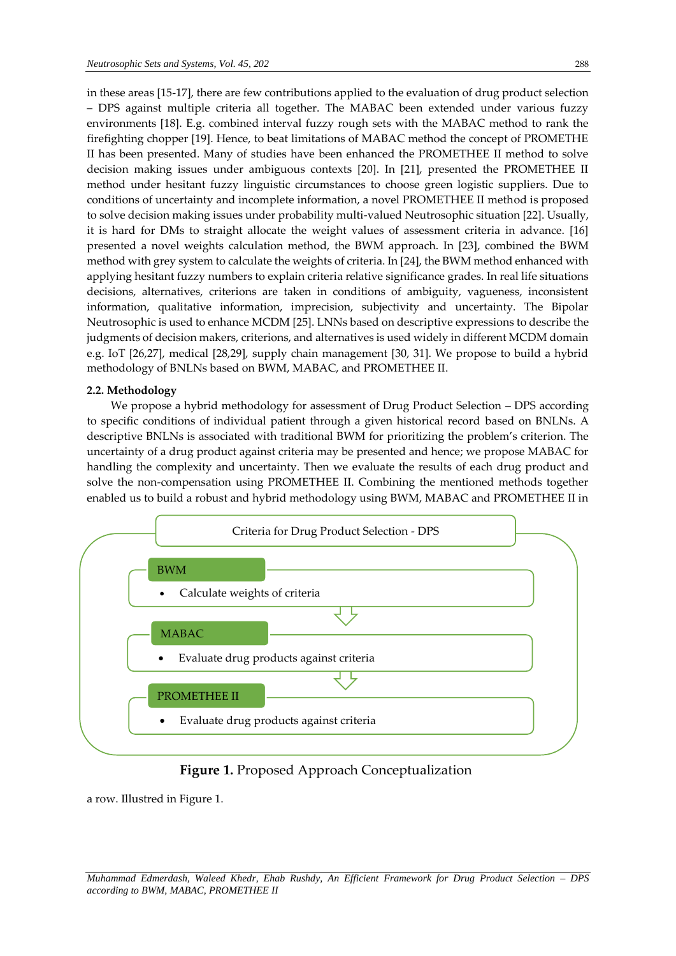in these areas [15-17], there are few contributions applied to the evaluation of drug product selection – DPS against multiple criteria all together. The MABAC been extended under various fuzzy environments [18]. E.g. combined interval fuzzy rough sets with the MABAC method to rank the firefighting chopper [19]. Hence, to beat limitations of MABAC method the concept of PROMETHE II has been presented. Many of studies have been enhanced the PROMETHEE II method to solve decision making issues under ambiguous contexts [20]. In [21], presented the PROMETHEE II method under hesitant fuzzy linguistic circumstances to choose green logistic suppliers. Due to conditions of uncertainty and incomplete information, a novel PROMETHEE II method is proposed to solve decision making issues under probability multi-valued Neutrosophic situation [22]. Usually, it is hard for DMs to straight allocate the weight values of assessment criteria in advance. [16] presented a novel weights calculation method, the BWM approach. In [23], combined the BWM method with grey system to calculate the weights of criteria. In [24], the BWM method enhanced with applying hesitant fuzzy numbers to explain criteria relative significance grades. In real life situations decisions, alternatives, criterions are taken in conditions of ambiguity, vagueness, inconsistent information, qualitative information, imprecision, subjectivity and uncertainty. The Bipolar Neutrosophic is used to enhance MCDM [25]. LNNs based on descriptive expressions to describe the judgments of decision makers, criterions, and alternatives is used widely in different MCDM domain e.g. IoT [26,27], medical [28,29], supply chain management [30, 31]. We propose to build a hybrid methodology of BNLNs based on BWM, MABAC, and PROMETHEE II.

#### **2.2. Methodology**

We propose a hybrid methodology for assessment of Drug Product Selection – DPS according to specific conditions of individual patient through a given historical record based on BNLNs. A descriptive BNLNs is associated with traditional BWM for prioritizing the problem's criterion. The uncertainty of a drug product against criteria may be presented and hence; we propose MABAC for handling the complexity and uncertainty. Then we evaluate the results of each drug product and solve the non-compensation using PROMETHEE II. Combining the mentioned methods together enabled us to build a robust and hybrid methodology using BWM, MABAC and PROMETHEE II in



# **Figure 1.** Proposed Approach Conceptualization

a row. Illustred in Figure 1.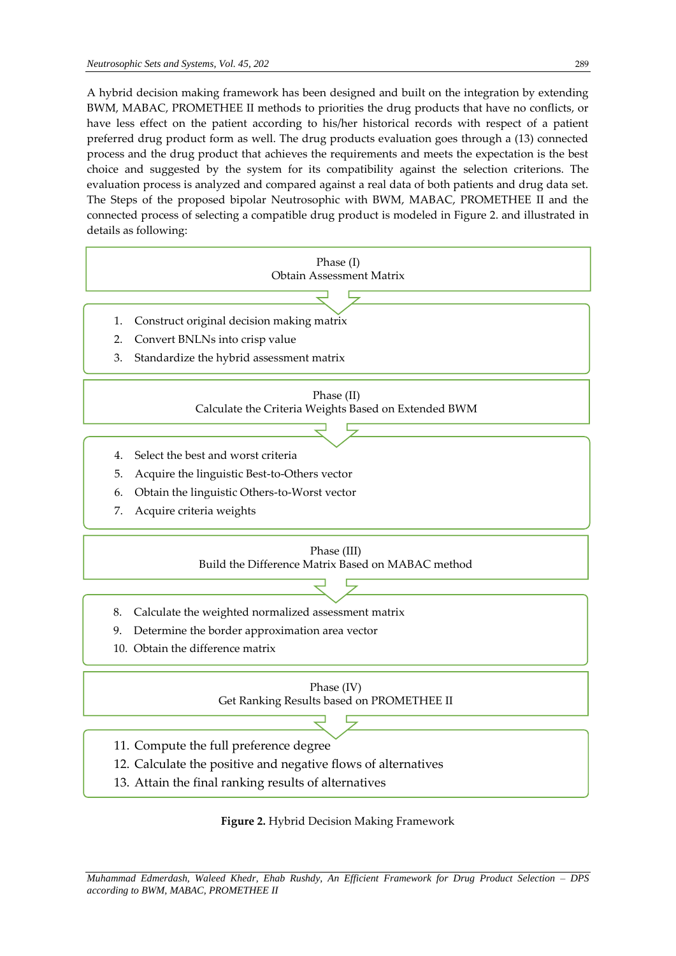A hybrid decision making framework has been designed and built on the integration by extending BWM, MABAC, PROMETHEE II methods to priorities the drug products that have no conflicts, or have less effect on the patient according to his/her historical records with respect of a patient preferred drug product form as well. The drug products evaluation goes through a (13) connected process and the drug product that achieves the requirements and meets the expectation is the best choice and suggested by the system for its compatibility against the selection criterions. The evaluation process is analyzed and compared against a real data of both patients and drug data set. The Steps of the proposed bipolar Neutrosophic with BWM, MABAC, PROMETHEE II and the connected process of selecting a compatible drug product is modeled in Figure 2. and illustrated in details as following:



**Figure 2.** Hybrid Decision Making Framework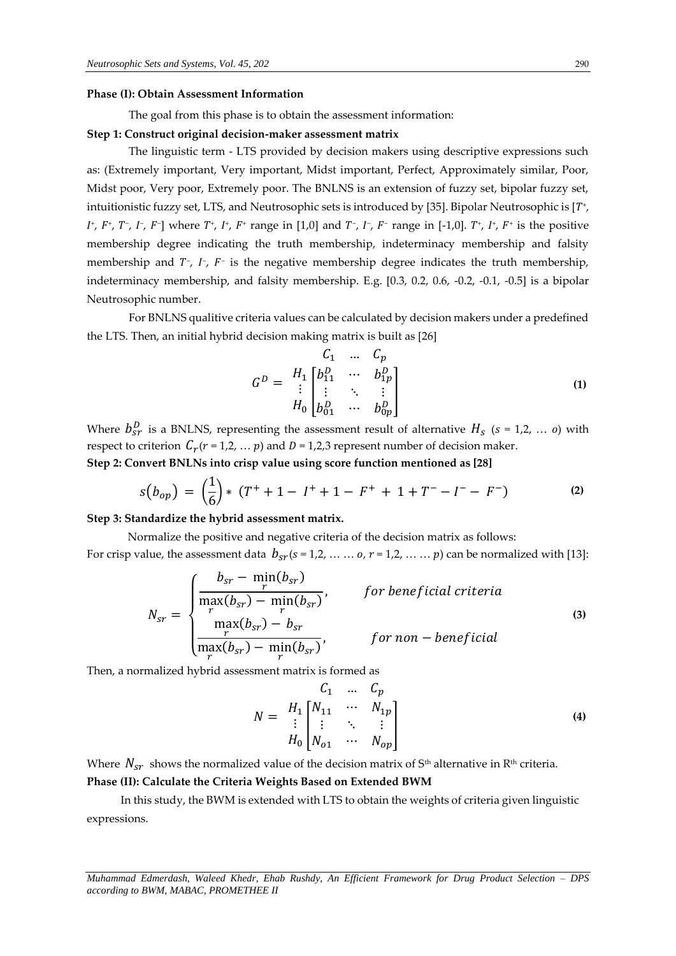#### **Phase (I): Obtain Assessment Information**

The goal from this phase is to obtain the assessment information:

#### **Step 1: Construct original decision-maker assessment matrix**

The linguistic term - LTS provided by decision makers using descriptive expressions such as: (Extremely important, Very important, Midst important, Perfect, Approximately similar, Poor, Midst poor, Very poor, Extremely poor. The BNLNS is an extension of fuzzy set, bipolar fuzzy set, intuitionistic fuzzy set, LTS, and Neutrosophic sets is introduced by [35]. Bipolar Neutrosophic is [ $T^*$ , *I*<sup>+</sup>, *F*<sup>-</sup>, *I*<sup>-</sup>, *I*<sup>-</sup>, *F*<sup>-</sup>] where *T*<sup>+</sup>, *I*<sup>+</sup>, *F*<sup>+</sup> range in [1,0] and *T*<sup>-</sup>, *I*<sup>-</sup>, *F*<sup>-</sup> range in [-1,0]. *T*<sup>+</sup>, *I*<sup>+</sup>, *F*<sup>+</sup> is the positive membership degree indicating the truth membership, indeterminacy membership and falsity membership and  $T^-$ ,  $I^-$ ,  $F^-$  is the negative membership degree indicates the truth membership, indeterminacy membership, and falsity membership. E.g. [0.3, 0.2, 0.6, -0.2, -0.1, -0.5] is a bipolar Neutrosophic number.

For BNLNS qualitive criteria values can be calculated by decision makers under a predefined the LTS. Then, an initial hybrid decision making matrix is built as [26]

$$
G^{D} = \begin{array}{cc} & C_{1} & \dots & C_{p} \\ H_{1} \begin{bmatrix} b_{11}^{D} & \cdots & b_{1p}^{D} \\ \vdots & \ddots & \vdots \\ H_{0} \begin{bmatrix} b_{01}^{D} & \cdots & b_{0p}^{D} \end{bmatrix} \end{array}
$$
 (1)

Where  $b_{sr}^D$  is a BNLNS, representing the assessment result of alternative  $H_s$  (s = 1,2, ... o) with respect to criterion  $C_r$ ( $r = 1, 2, ... p$ ) and  $D = 1, 2, 3$  represent number of decision maker. **Step 2: Convert BNLNs into crisp value using score function mentioned as [28]**

$$
s(b_{op}) = \left(\frac{1}{6}\right) * (T^+ + 1 - I^+ + 1 - F^+ + 1 + T^- - I^- - F^-)
$$
 (2)

#### **Step 3: Standardize the hybrid assessment matrix.**

Normalize the positive and negative criteria of the decision matrix as follows: For crisp value, the assessment data  $b_{sr}(s = 1,2, \ldots \ldots \text{ o}, r = 1,2, \ldots \ldots \text{ p})$  can be normalized with [13]:

$$
N_{sr} = \begin{cases} \frac{b_{sr} - \min_r(b_{sr})}{\max(b_{sr}) - \min_r(b_{sr})}, & \text{for beneficial criteria} \\ \frac{\max(b_{sr}) - b_{sr}}{\max(b_{sr}) - \min_r(b_{sr})}, & \text{for non-beneficial} \\ \frac{r}{\max(b_{sr}) - \min_r(b_{sr})}, & \text{for non-beneficial} \end{cases}
$$
(3)

Then, a normalized hybrid assessment matrix is formed as

$$
N = \begin{array}{ccc} & C_1 & \dots & C_p \\ H_1 \begin{bmatrix} N_{11} & \cdots & N_{1p} \\ \vdots & \ddots & \vdots \\ H_0 \begin{bmatrix} N_{o1} & \cdots & N_{op} \end{bmatrix} \end{array}
$$
 (4)

Where  $N_{sr}$  shows the normalized value of the decision matrix of S<sup>th</sup> alternative in R<sup>th</sup> criteria.

## **Phase (II): Calculate the Criteria Weights Based on Extended BWM**

In this study, the BWM is extended with LTS to obtain the weights of criteria given linguistic expressions.

*Muhammad Edmerdash, Waleed Khedr, Ehab Rushdy, An Efficient Framework for Drug Product Selection – DPS according to BWM, MABAC, PROMETHEE II*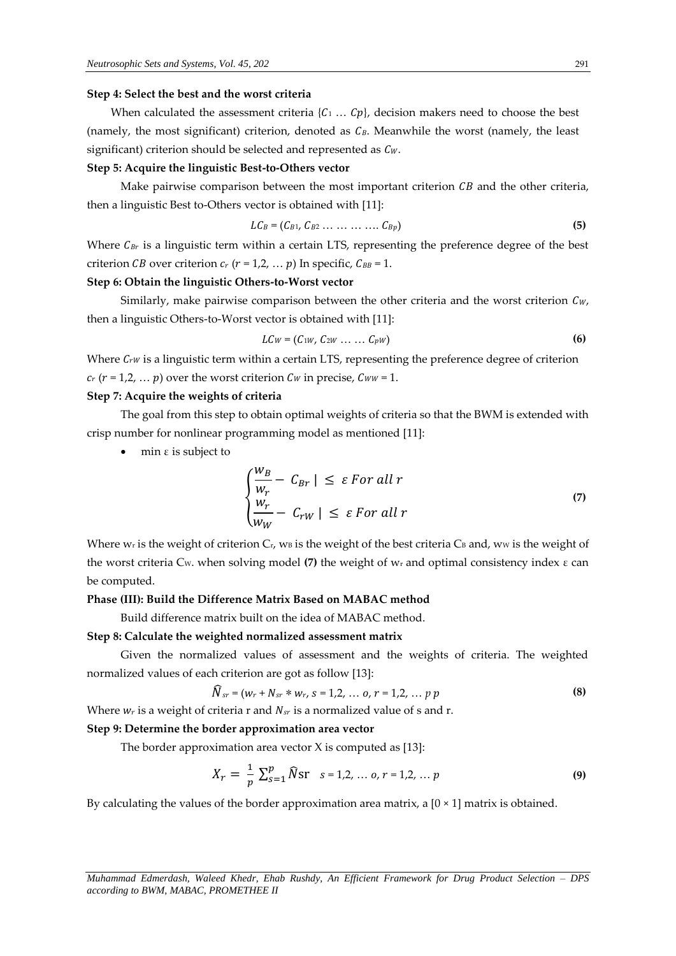#### **Step 4: Select the best and the worst criteria**

When calculated the assessment criteria  $\{C_1 \ldots C_p\}$ , decision makers need to choose the best (namely, the most significant) criterion, denoted as  $C_B$ . Meanwhile the worst (namely, the least significant) criterion should be selected and represented as  $C_w$ .

#### **Step 5: Acquire the linguistic Best-to-Others vector**

Make pairwise comparison between the most important criterion  $\overline{CB}$  and the other criteria, then a linguistic Best to-Others vector is obtained with [11]:

$$
LC_B = (C_{B1}, C_{B2} \ldots \ldots \ldots \ldots C_{Bp})
$$
 (5)

Where  $C_{Br}$  is a linguistic term within a certain LTS, representing the preference degree of the best criterion *CB* over criterion  $c_r$  ( $r = 1, 2, ... p$ ) In specific,  $C_{BB} = 1$ .

# **Step 6: Obtain the linguistic Others-to-Worst vector**

Similarly, make pairwise comparison between the other criteria and the worst criterion  $C_{W}$ , then a linguistic Others-to-Worst vector is obtained with [11]:

$$
LCW = (C_{1W}, C_{2W} \ldots \ldots C_{pW})
$$
 (6)

Where  $C_{rw}$  is a linguistic term within a certain LTS, representing the preference degree of criterion  $c_r$  ( $r = 1, 2, \ldots, p$ ) over the worst criterion  $C_W$  in precise,  $C_{WW} = 1$ .

# **Step 7: Acquire the weights of criteria**

The goal from this step to obtain optimal weights of criteria so that the BWM is extended with crisp number for nonlinear programming model as mentioned [11]:

min  $ε$  is subject to

$$
\begin{cases}\n\frac{W_B}{W_r} - C_{Br} \mid \leq \varepsilon \text{ For all } r \\
\frac{W_r}{W_W} - C_{rw} \mid \leq \varepsilon \text{ For all } r\n\end{cases}
$$
\n(7)

Where w<sub>r</sub> is the weight of criterion  $C_r$ , w<sub>B</sub> is the weight of the best criteria  $C_B$  and, ww is the weight of the worst criteria CW. when solving model **(7)** the weight of w<sup>r</sup> and optimal consistency index ε can be computed.

#### **Phase (III): Build the Difference Matrix Based on MABAC method**

Build difference matrix built on the idea of MABAC method.

#### **Step 8: Calculate the weighted normalized assessment matrix**

Given the normalized values of assessment and the weights of criteria. The weighted normalized values of each criterion are got as follow [13]:

$$
\widehat{N}_{sr} = (w_r + N_{sr} * w_r, s = 1, 2, ..., o, r = 1, 2, ..., p \tag{8}
$$

Where  $w_r$  is a weight of criteria r and  $N_{sr}$  is a normalized value of s and r.

#### **Step 9: Determine the border approximation area vector**

The border approximation area vector  $X$  is computed as [13]:

$$
X_r = \frac{1}{p} \sum_{s=1}^p \widehat{N} \text{sr} \quad s = 1, 2, \dots, o, r = 1, 2, \dots, p \tag{9}
$$

By calculating the values of the border approximation area matrix, a  $[0 \times 1]$  matrix is obtained.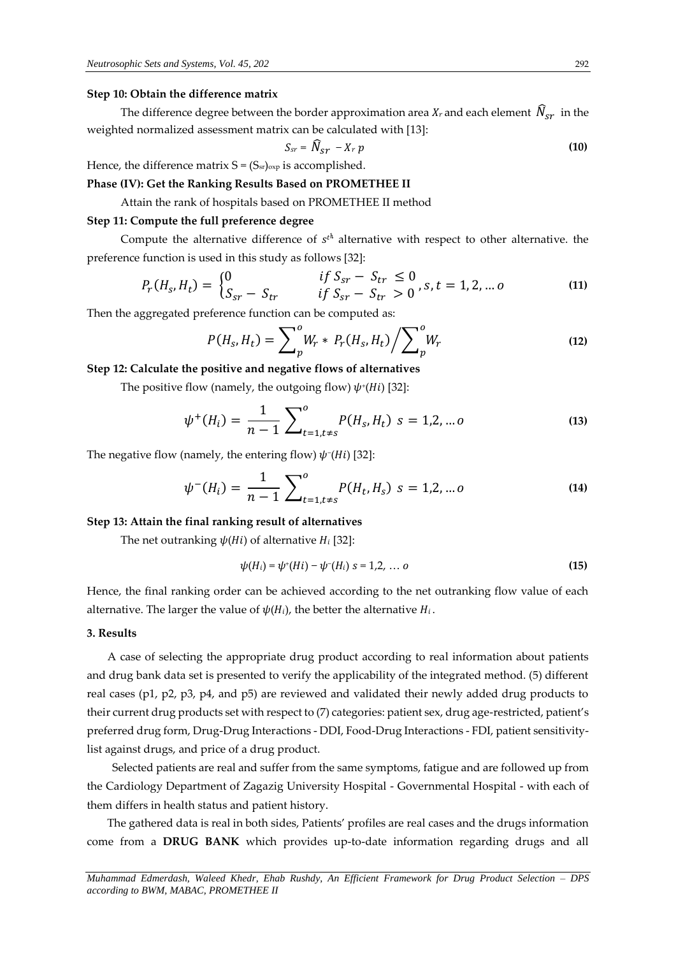#### **Step 10: Obtain the difference matrix**

The difference degree between the border approximation area  $X_r$  and each element  $\hat{N}_{sr}$  in the weighted normalized assessment matrix can be calculated with [13]:

$$
S_{sr} = \widehat{N}_{sr} - X_r p \tag{10}
$$

Hence, the difference matrix  $S = (S_{sr})_{\text{exp}}$  is accomplished.

**Phase (IV): Get the Ranking Results Based on PROMETHEE II**

Attain the rank of hospitals based on PROMETHEE II method

# **Step 11: Compute the full preference degree**

Compute the alternative difference of  $s<sup>t</sup>$  alternative with respect to other alternative. the preference function is used in this study as follows [32]:

$$
P_r(H_s, H_t) = \begin{cases} 0 & \text{if } S_{sr} - S_{tr} \le 0 \\ S_{sr} - S_{tr} & \text{if } S_{sr} - S_{tr} > 0 \end{cases}, s, t = 1, 2, \dots o \tag{11}
$$

Then the aggregated preference function can be computed as:

$$
P(H_s, H_t) = \sum_{p}^{0} W_r * P_r(H_s, H_t) / \sum_{p}^{0} W_r
$$
 (12)

**Step 12: Calculate the positive and negative flows of alternatives**

The positive flow (namely, the outgoing flow)  $\psi^*(Hi)$  [32]:

$$
\psi^+(H_i) = \frac{1}{n-1} \sum_{t=1, t \neq s}^{0} P(H_s, H_t) \ s = 1, 2, \dots, 0 \tag{13}
$$

The negative flow (namely, the entering flow)  $\psi$ <sup>-</sup>(Hi) [32]:

$$
\psi^{-}(H_i) = \frac{1}{n-1} \sum_{t=1, t \neq s}^{0} P(H_t, H_s) \ s = 1, 2, \dots 0 \tag{14}
$$

#### **Step 13: Attain the final ranking result of alternatives**

The net outranking  $\psi(Hi)$  of alternative  $H_i$  [32]:

$$
\psi(H_i) = \psi^*(Hi) - \psi^-(Hi) \ s = 1, 2, \ \dots \ o \tag{15}
$$

Hence, the final ranking order can be achieved according to the net outranking flow value of each alternative. The larger the value of  $\psi(H_i)$ , the better the alternative  $H_i$ .

#### **3. Results**

A case of selecting the appropriate drug product according to real information about patients and drug bank data set is presented to verify the applicability of the integrated method. (5) different real cases (p1, p2, p3, p4, and p5) are reviewed and validated their newly added drug products to their current drug products set with respect to (7) categories: patient sex, drug age-restricted, patient's preferred drug form, Drug-Drug Interactions - DDI, Food-Drug Interactions - FDI, patient sensitivitylist against drugs, and price of a drug product.

Selected patients are real and suffer from the same symptoms, fatigue and are followed up from the Cardiology Department of Zagazig University Hospital - Governmental Hospital - with each of them differs in health status and patient history.

The gathered data is real in both sides, Patients' profiles are real cases and the drugs information come from a **DRUG BANK** which provides up-to-date information regarding drugs and all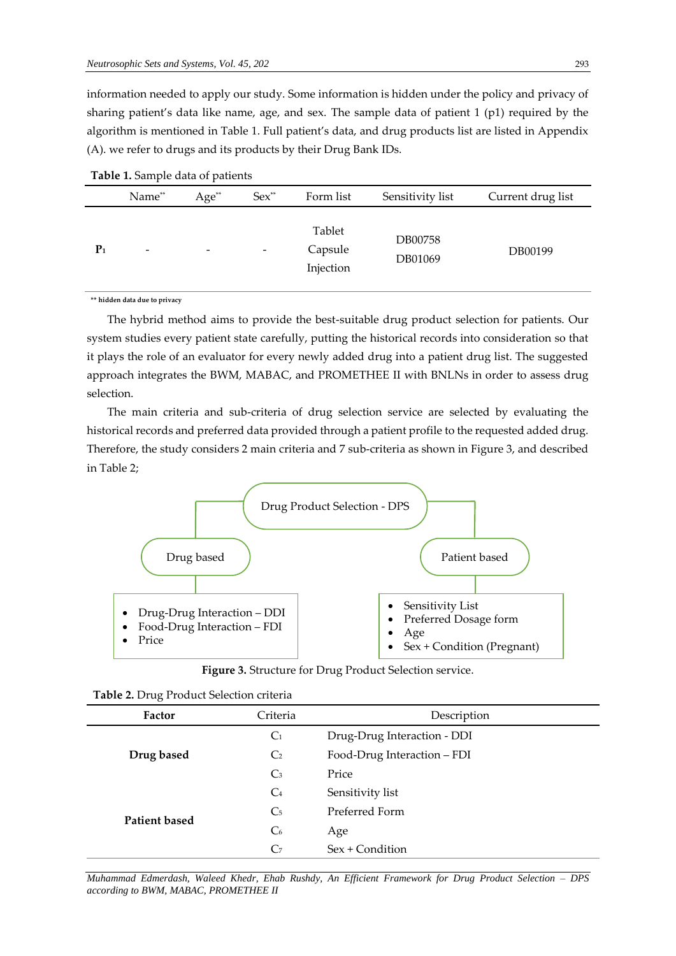information needed to apply our study. Some information is hidden under the policy and privacy of sharing patient's data like name, age, and sex. The sample data of patient 1 (p1) required by the algorithm is mentioned in Table 1. Full patient's data, and drug products list are listed in Appendix (A). we refer to drugs and its products by their Drug Bank IDs.

|                | Name**                   | $Age^*$                  | $Sex^{**}$               | Form list                      | Sensitivity list   | Current drug list |
|----------------|--------------------------|--------------------------|--------------------------|--------------------------------|--------------------|-------------------|
| P <sub>1</sub> | $\overline{\phantom{a}}$ | $\overline{\phantom{0}}$ | $\overline{\phantom{a}}$ | Tablet<br>Capsule<br>Injection | DB00758<br>DB01069 | DB00199           |

| Table 1. Sample data of patients |  |  |
|----------------------------------|--|--|
|----------------------------------|--|--|

**\*\* hidden data due to privacy**

The hybrid method aims to provide the best-suitable drug product selection for patients. Our system studies every patient state carefully, putting the historical records into consideration so that it plays the role of an evaluator for every newly added drug into a patient drug list. The suggested approach integrates the BWM, MABAC, and PROMETHEE II with BNLNs in order to assess drug selection.

The main criteria and sub-criteria of drug selection service are selected by evaluating the historical records and preferred data provided through a patient profile to the requested added drug. Therefore, the study considers 2 main criteria and 7 sub-criteria as shown in Figure 3, and described in Table 2;



|  |  | <b>Figure 3.</b> Structure for Drug Product Selection service. |  |  |  |  |  |  |  |  |
|--|--|----------------------------------------------------------------|--|--|--|--|--|--|--|--|
|--|--|----------------------------------------------------------------|--|--|--|--|--|--|--|--|

| Table 2. Drug I Tounce Delection Criteria |                |                             |  |  |  |
|-------------------------------------------|----------------|-----------------------------|--|--|--|
| Factor                                    | Criteria       | Description                 |  |  |  |
|                                           | C <sub>1</sub> | Drug-Drug Interaction - DDI |  |  |  |
| Drug based                                | C <sub>2</sub> | Food-Drug Interaction – FDI |  |  |  |
|                                           | $C_3$          | Price                       |  |  |  |
|                                           | C <sub>4</sub> | Sensitivity list            |  |  |  |
| <b>Patient based</b>                      | C <sub>5</sub> | Preferred Form              |  |  |  |
|                                           | C <sub>6</sub> | Age                         |  |  |  |
|                                           | C <sub>7</sub> | Sex + Condition             |  |  |  |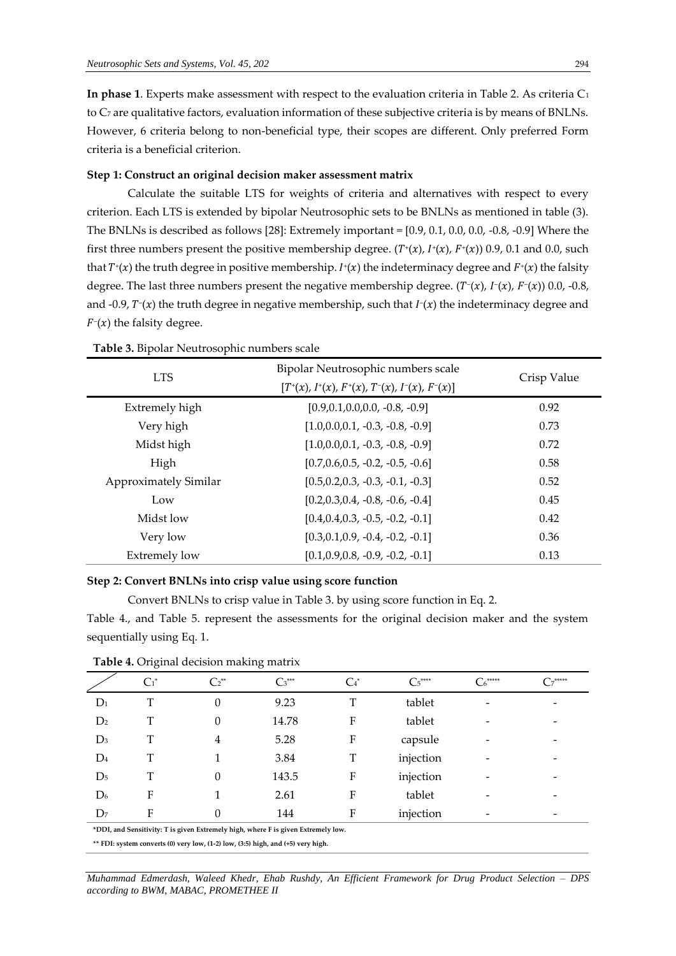**In phase 1**. Experts make assessment with respect to the evaluation criteria in Table 2. As criteria C<sup>1</sup> to C<sup>7</sup> are qualitative factors, evaluation information of these subjective criteria is by means of BNLNs. However, 6 criteria belong to non-beneficial type, their scopes are different. Only preferred Form criteria is a beneficial criterion.

#### **Step 1: Construct an original decision maker assessment matrix**

Calculate the suitable LTS for weights of criteria and alternatives with respect to every criterion. Each LTS is extended by bipolar Neutrosophic sets to be BNLNs as mentioned in table (3). The BNLNs is described as follows [28]: Extremely important = [0.9, 0.1, 0.0, 0.0, -0.8, -0.9] Where the first three numbers present the positive membership degree.  $(T^*(x), I^*(x), F^*(x))$  0.9, 0.1 and 0.0, such that  $T^*(x)$  the truth degree in positive membership.  $I^*(x)$  the indeterminacy degree and  $F^*(x)$  the falsity degree. The last three numbers present the negative membership degree.  $(T^-(x), I^-(x), F^-(x))$  0.0, -0.8, and -0.9,  $T^-(x)$  the truth degree in negative membership, such that  $I^-(x)$  the indeterminacy degree and  $F<sup>-</sup>(x)$  the falsity degree.

| л.<br>л.<br><b>LTS</b>       | Bipolar Neutrosophic numbers scale<br>$[T^+(x), I^+(x), F^+(x), T^-(x), I^-(x), F^-(x)]$ | Crisp Value |
|------------------------------|------------------------------------------------------------------------------------------|-------------|
| Extremely high               | $[0.9, 0.1, 0.0, 0.0, -0.8, -0.9]$                                                       | 0.92        |
| Very high                    | $[1.0, 0.0, 0.1, -0.3, -0.8, -0.9]$                                                      | 0.73        |
| Midst high                   | $[1.0, 0.0, 0.1, -0.3, -0.8, -0.9]$                                                      | 0.72        |
| High                         | $[0.7, 0.6, 0.5, -0.2, -0.5, -0.6]$                                                      | 0.58        |
| <b>Approximately Similar</b> | $[0.5, 0.2, 0.3, -0.3, -0.1, -0.3]$                                                      | 0.52        |
| Low                          | $[0.2, 0.3, 0.4, -0.8, -0.6, -0.4]$                                                      | 0.45        |
| Midst low                    | $[0.4, 0.4, 0.3, -0.5, -0.2, -0.1]$                                                      | 0.42        |
| Very low                     | $[0.3, 0.1, 0.9, -0.4, -0.2, -0.1]$                                                      | 0.36        |
| <b>Extremely low</b>         | $[0.1, 0.9, 0.8, -0.9, -0.2, -0.1]$                                                      | 0.13        |

**Table 3.** Bipolar Neutrosophic numbers scale

# **Step 2: Convert BNLNs into crisp value using score function**

Convert BNLNs to crisp value in Table 3. by using score function in Eq. 2.

Table 4., and Table 5. represent the assessments for the original decision maker and the system sequentially using Eq. 1.

|                | $\checkmark$                                                                     |                                                                                   | $\check{ }$ |                  |            |             |              |  |
|----------------|----------------------------------------------------------------------------------|-----------------------------------------------------------------------------------|-------------|------------------|------------|-------------|--------------|--|
|                | $C_1^*$                                                                          | $C_2^{**}$                                                                        | $C_3^{***}$ | $\mathrm{C_4}^*$ | $C_5$ **** | *****<br>C6 | $C_7^{****}$ |  |
| $D_1$          | T                                                                                | $\Omega$                                                                          | 9.23        | T                | tablet     |             |              |  |
| D <sub>2</sub> |                                                                                  | 0                                                                                 | 14.78       | F                | tablet     |             |              |  |
| $D_3$          | T                                                                                | 4                                                                                 | 5.28        | F                | capsule    |             |              |  |
| $D_4$          | T                                                                                |                                                                                   | 3.84        | T                | injection  |             |              |  |
| D <sub>5</sub> | T                                                                                |                                                                                   | 143.5       | F                | injection  |             |              |  |
| D <sub>6</sub> | F                                                                                |                                                                                   | 2.61        | F                | tablet     |             |              |  |
| D <sub>7</sub> | F                                                                                | 0                                                                                 | 144         | F                | injection  |             |              |  |
|                |                                                                                  | *DDI, and Sensitivity: T is given Extremely high, where F is given Extremely low. |             |                  |            |             |              |  |
|                | ** FDI: system converts (0) very low, (1-2) low, (3:5) high, and (+5) very high. |                                                                                   |             |                  |            |             |              |  |

**Table 4.** Original decision making matrix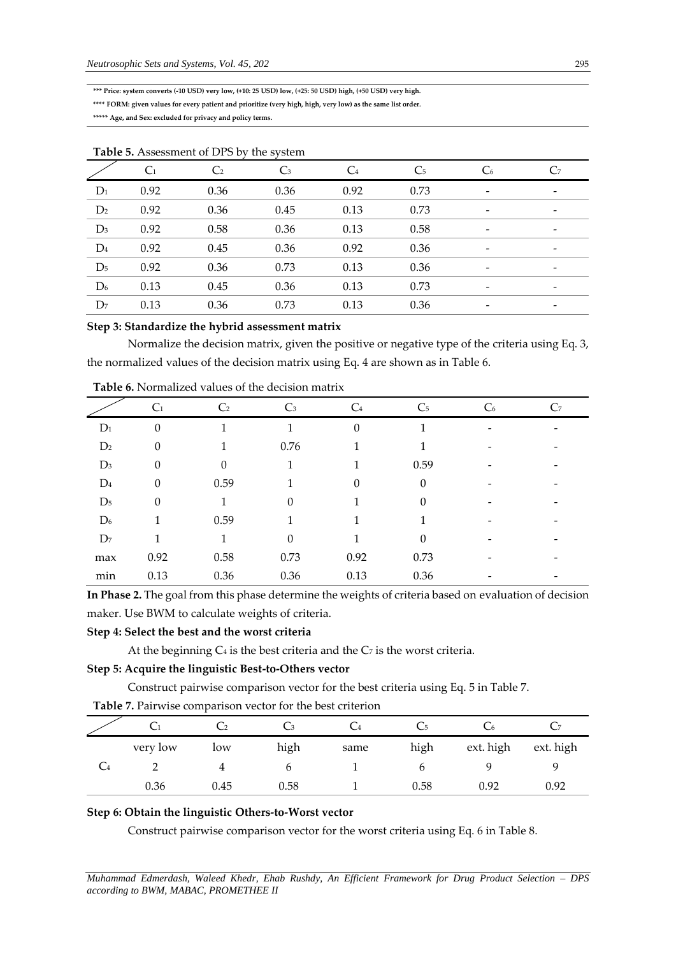**\*\*\* Price: system converts (-10 USD) very low, (+10: 25 USD) low, (+25: 50 USD) high, (+50 USD) very high.**

**\*\*\*\* FORM: given values for every patient and prioritize (very high, high, very low) as the same list order.**

**\*\*\*\*\* Age, and Sex: excluded for privacy and policy terms.**

| <b>Table 9.</b> <i>Prosessment</i> of <i>DT DV</i> the system |                |            |                |       |                |                |                |  |  |
|---------------------------------------------------------------|----------------|------------|----------------|-------|----------------|----------------|----------------|--|--|
|                                                               | C <sub>1</sub> | $\rm{C}_2$ | $\mathbb{C}_3$ | $C_4$ | C <sub>5</sub> | C <sub>6</sub> | C <sub>7</sub> |  |  |
| $D_1$                                                         | 0.92           | 0.36       | 0.36           | 0.92  | 0.73           |                |                |  |  |
| D <sub>2</sub>                                                | 0.92           | 0.36       | 0.45           | 0.13  | 0.73           |                |                |  |  |
| $D_3$                                                         | 0.92           | 0.58       | 0.36           | 0.13  | 0.58           |                |                |  |  |
| $\mathrm{D}_4$                                                | 0.92           | 0.45       | 0.36           | 0.92  | 0.36           |                |                |  |  |
| $D_5$                                                         | 0.92           | 0.36       | 0.73           | 0.13  | 0.36           |                |                |  |  |
| D <sub>6</sub>                                                | 0.13           | 0.45       | 0.36           | 0.13  | 0.73           |                |                |  |  |
| D <sub>7</sub>                                                | 0.13           | 0.36       | 0.73           | 0.13  | 0.36           |                |                |  |  |
|                                                               |                |            |                |       |                |                |                |  |  |

#### **Table 5.** Assessment of DPS by the system

# **Step 3: Standardize the hybrid assessment matrix**

Normalize the decision matrix, given the positive or negative type of the criteria using Eq. 3, the normalized values of the decision matrix using Eq. 4 are shown as in Table 6.

| Tubic v. I williamsca values of the decision matrix |                  |                |       |                |                |                |                |  |  |
|-----------------------------------------------------|------------------|----------------|-------|----------------|----------------|----------------|----------------|--|--|
|                                                     | C <sub>1</sub>   | C <sub>2</sub> | $C_3$ | C <sub>4</sub> | $\mathsf{C}_5$ | C <sub>6</sub> | C <sub>7</sub> |  |  |
| $D_1$                                               | $\boldsymbol{0}$ |                |       | 0              |                |                |                |  |  |
| D <sub>2</sub>                                      | $\theta$         |                | 0.76  |                |                |                |                |  |  |
| $D_3$                                               | 0                | 0              | 1     |                | 0.59           |                |                |  |  |
| $D_4$                                               | $\boldsymbol{0}$ | 0.59           |       |                | $\theta$       |                |                |  |  |
| D <sub>5</sub>                                      | $\theta$         | 1              |       |                | 0              |                |                |  |  |
| D <sub>6</sub>                                      |                  | 0.59           |       |                |                |                |                |  |  |
| D <sub>7</sub>                                      |                  | 1              | 0     |                | 0              |                |                |  |  |
| max                                                 | 0.92             | 0.58           | 0.73  | 0.92           | 0.73           |                |                |  |  |
| $\min$                                              | 0.13             | 0.36           | 0.36  | 0.13           | 0.36           |                |                |  |  |

**Table 6.** Normalized values of the decision matrix

**In Phase 2.** The goal from this phase determine the weights of criteria based on evaluation of decision maker. Use BWM to calculate weights of criteria.

#### **Step 4: Select the best and the worst criteria**

At the beginning  $C_4$  is the best criteria and the  $C_7$  is the worst criteria.

# **Step 5: Acquire the linguistic Best-to-Others vector**

Construct pairwise comparison vector for the best criteria using Eq. 5 in Table 7.

|          |      |      | $\mathord{\smile} 4$ |      |           |           |
|----------|------|------|----------------------|------|-----------|-----------|
| very low | low  | high | same                 | high | ext. high | ext. high |
|          |      |      |                      |      |           |           |
| 0.36     | 0.45 | 0.58 |                      | 0.58 | 0.92      | 0.92      |

**Table 7.** Pairwise comparison vector for the best criterion

# **Step 6: Obtain the linguistic Others-to-Worst vector**

Construct pairwise comparison vector for the worst criteria using Eq. 6 in Table 8.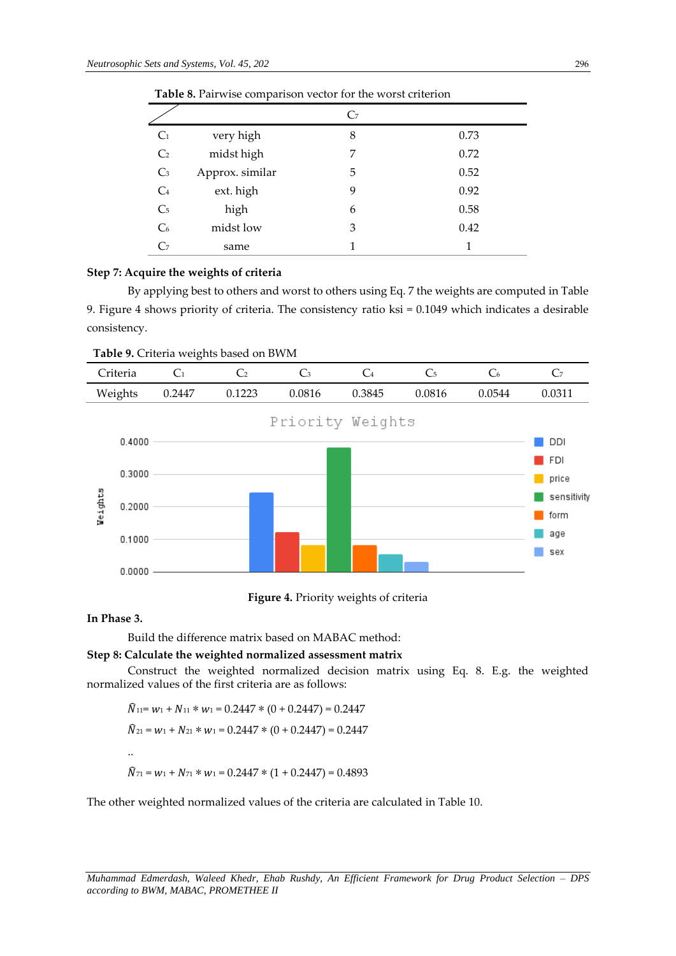|                |                 | C7 |      |  |  |  |  |  |
|----------------|-----------------|----|------|--|--|--|--|--|
| C <sub>1</sub> | very high       | 8  | 0.73 |  |  |  |  |  |
| C <sub>2</sub> | midst high      | 7  | 0.72 |  |  |  |  |  |
| C <sub>3</sub> | Approx. similar | 5  | 0.52 |  |  |  |  |  |
| C <sub>4</sub> | ext. high       | 9  | 0.92 |  |  |  |  |  |
| C <sub>5</sub> | high            | 6  | 0.58 |  |  |  |  |  |
| C <sub>6</sub> | midst low       | 3  | 0.42 |  |  |  |  |  |
|                | same            | 1  | 1    |  |  |  |  |  |

**Table 8.** Pairwise comparison vector for the worst criterion

### **Step 7: Acquire the weights of criteria**

By applying best to others and worst to others using Eq. 7 the weights are computed in Table 9. Figure 4 shows priority of criteria. The consistency ratio ksi = 0.1049 which indicates a desirable consistency.

**Table 9.** Criteria weights based on BWM



**Figure 4.** Priority weights of criteria

# **In Phase 3.**

Build the difference matrix based on MABAC method:

**Step 8: Calculate the weighted normalized assessment matrix**

Construct the weighted normalized decision matrix using Eq. 8. E.g. the weighted normalized values of the first criteria are as follows:

$$
\hat{N}_{11} = w_1 + N_{11} * w_1 = 0.2447 * (0 + 0.2447) = 0.2447
$$
  

$$
\hat{N}_{21} = w_1 + N_{21} * w_1 = 0.2447 * (0 + 0.2447) = 0.2447
$$
  
...  

$$
\hat{N}_{71} = w_1 + N_{71} * w_1 = 0.2447 * (1 + 0.2447) = 0.4893
$$

The other weighted normalized values of the criteria are calculated in Table 10.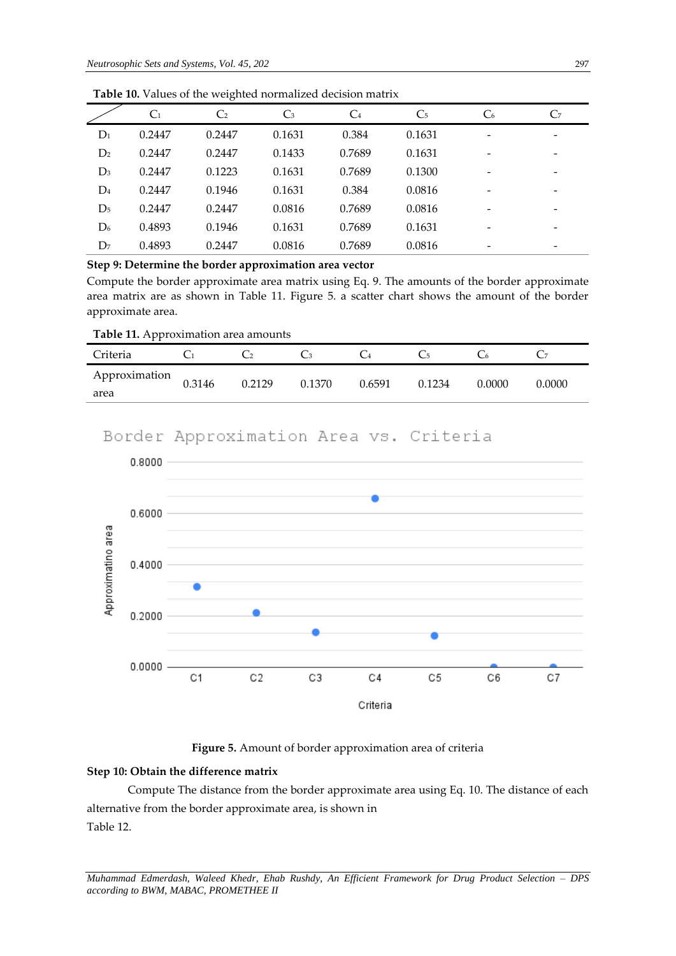|                | C <sub>1</sub> | C <sub>2</sub> | $C_3$  | C <sub>4</sub> | C <sub>5</sub> | C <sub>6</sub> | C <sub>7</sub> |
|----------------|----------------|----------------|--------|----------------|----------------|----------------|----------------|
| $D_1$          | 0.2447         | 0.2447         | 0.1631 | 0.384          | 0.1631         |                |                |
| D <sub>2</sub> | 0.2447         | 0.2447         | 0.1433 | 0.7689         | 0.1631         |                |                |
| $D_3$          | 0.2447         | 0.1223         | 0.1631 | 0.7689         | 0.1300         |                |                |
| $D_4$          | 0.2447         | 0.1946         | 0.1631 | 0.384          | 0.0816         |                |                |
| D <sub>5</sub> | 0.2447         | 0.2447         | 0.0816 | 0.7689         | 0.0816         | -              |                |
| D <sub>6</sub> | 0.4893         | 0.1946         | 0.1631 | 0.7689         | 0.1631         |                |                |
| D <sub>7</sub> | 0.4893         | 0.2447         | 0.0816 | 0.7689         | 0.0816         |                |                |

**Table 10.** Values of the weighted normalized decision matrix

**Step 9: Determine the border approximation area vector**

Compute the border approximate area matrix using Eq. 9. The amounts of the border approximate area matrix are as shown in Table 11. Figure 5. a scatter chart shows the amount of the border approximate area.

| Criteria      |        |        |        |        |        |        |        |
|---------------|--------|--------|--------|--------|--------|--------|--------|
| Approximation | 0.3146 | 0.2129 | 0.1370 | 0.6591 | 0.1234 | 0.0000 | 0.0000 |
| area          |        |        |        |        |        |        |        |

# Border Approximation Area vs. Criteria



# **Figure 5.** Amount of border approximation area of criteria

# **Step 10: Obtain the difference matrix**

Compute The distance from the border approximate area using Eq. 10. The distance of each alternative from the border approximate area, is shown in Table 12.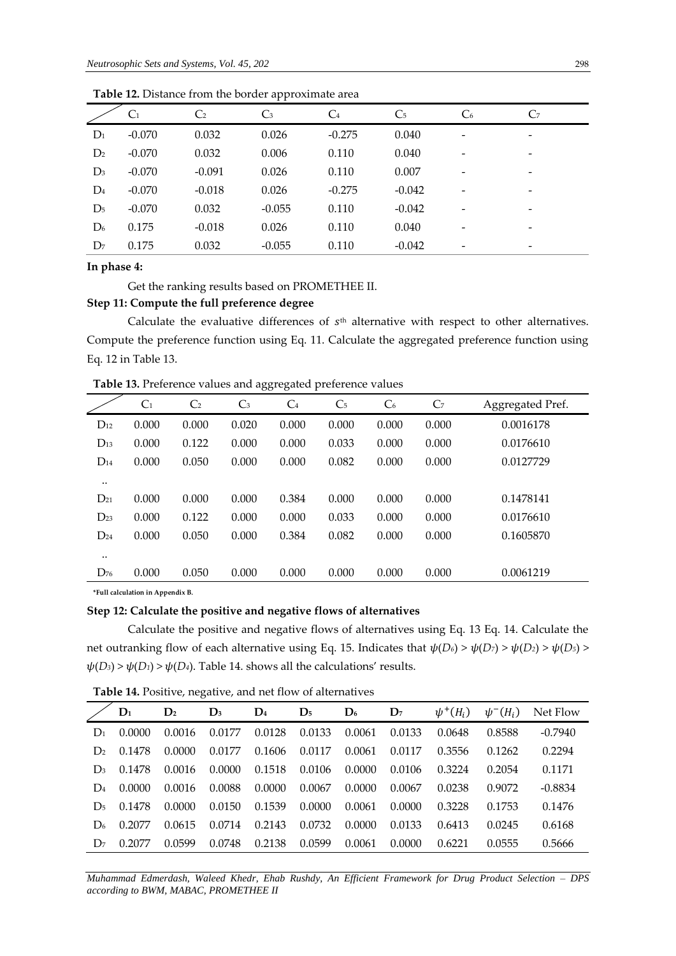|                |                |                | - -            |                |                |                |                |
|----------------|----------------|----------------|----------------|----------------|----------------|----------------|----------------|
|                | C <sub>1</sub> | C <sub>2</sub> | $\mathbb{C}^3$ | C <sub>4</sub> | C <sub>5</sub> | C <sub>6</sub> | C <sub>7</sub> |
| $D_1$          | $-0.070$       | 0.032          | 0.026          | $-0.275$       | 0.040          | -              | -              |
| D <sub>2</sub> | $-0.070$       | 0.032          | 0.006          | 0.110          | 0.040          | -              | -              |
| $D_3$          | $-0.070$       | $-0.091$       | 0.026          | 0.110          | 0.007          | -              | -              |
| $D_4$          | $-0.070$       | $-0.018$       | 0.026          | $-0.275$       | $-0.042$       | -              | -              |
| D <sub>5</sub> | $-0.070$       | 0.032          | $-0.055$       | 0.110          | $-0.042$       |                |                |
| $D_6$          | 0.175          | $-0.018$       | 0.026          | 0.110          | 0.040          | -              | -              |
| D <sub>7</sub> | 0.175          | 0.032          | $-0.055$       | 0.110          | $-0.042$       |                | -              |
|                |                |                |                |                |                |                |                |

**Table 12.** Distance from the border approximate area

**In phase 4:** 

#### Get the ranking results based on PROMETHEE II.

# **Step 11: Compute the full preference degree**

Calculate the evaluative differences of  $s<sup>th</sup>$  alternative with respect to other alternatives. Compute the preference function using Eq. 11. Calculate the aggregated preference function using Eq. 12 in Table 13.

**Table 13.** Preference values and aggregated preference values

|               | C <sub>1</sub> | C <sub>2</sub> | $C_3$ | C <sub>4</sub> | C <sub>5</sub> | C <sub>6</sub> | C <sub>7</sub> | Aggregated Pref. |
|---------------|----------------|----------------|-------|----------------|----------------|----------------|----------------|------------------|
| $D_{12}$      | 0.000          | 0.000          | 0.020 | 0.000          | 0.000          | 0.000          | 0.000          | 0.0016178        |
| $D_{13}$      | 0.000          | 0.122          | 0.000 | 0.000          | 0.033          | 0.000          | 0.000          | 0.0176610        |
| $D_{14}$      | 0.000          | 0.050          | 0.000 | 0.000          | 0.082          | 0.000          | 0.000          | 0.0127729        |
| $\cdot \cdot$ |                |                |       |                |                |                |                |                  |
| $D_{21}$      | 0.000          | 0.000          | 0.000 | 0.384          | 0.000          | 0.000          | 0.000          | 0.1478141        |
| $D_{23}$      | 0.000          | 0.122          | 0.000 | 0.000          | 0.033          | 0.000          | 0.000          | 0.0176610        |
| $D_{24}$      | 0.000          | 0.050          | 0.000 | 0.384          | 0.082          | 0.000          | 0.000          | 0.1605870        |
| $\cdot \cdot$ |                |                |       |                |                |                |                |                  |
| $D_{76}$      | 0.000          | 0.050          | 0.000 | 0.000          | 0.000          | 0.000          | 0.000          | 0.0061219        |

**\*Full calculation in Appendix B.**

# **Step 12: Calculate the positive and negative flows of alternatives**

Calculate the positive and negative flows of alternatives using Eq. 13 Eq. 14. Calculate the net outranking flow of each alternative using Eq. 15. Indicates that  $\psi(D_6) > \psi(D_7) > \psi(D_2) > \psi(D_5) >$  $\psi(D_3)$  >  $\psi(D_1)$  >  $\psi(D_4)$ . Table 14. shows all the calculations' results.

**Table 14.** Positive, negative, and net flow of alternatives

|                | $\mathbf{D}_1$ | $\mathbf{D}_2$ | $\mathbf{D}_3$ | $\mathbf{D}_4$ | $\mathbf{D}_5$ | $\mathbf{D}_6$ | $\mathbf{D}_7$ | $\psi^+(H_i)$ | $\psi^-(H_i)$ | Net Flow  |
|----------------|----------------|----------------|----------------|----------------|----------------|----------------|----------------|---------------|---------------|-----------|
| $D_1$          | 0.0000         | 0.0016         | 0.0177         | 0.0128         | 0.0133         | 0.0061         | 0.0133         | 0.0648        | 0.8588        | $-0.7940$ |
| $\mathbf{D}_2$ | 0.1478         | 0.0000         | 0.0177         | 0.1606         | 0.0117         | 0.0061         | 0.0117         | 0.3556        | 0.1262        | 0.2294    |
| $D_3$          | 0.1478         | 0.0016         | 0.0000         | 0.1518         | 0.0106         | 0.0000         | 0.0106         | 0.3224        | 0.2054        | 0.1171    |
| $\mathbf{D}_4$ | 0.0000         | 0.0016         | 0.0088         | 0.0000         | 0.0067         | 0.0000         | 0.0067         | 0.0238        | 0.9072        | $-0.8834$ |
| D <sub>5</sub> | 0.1478         | 0.0000         | 0.0150         | 0.1539         | 0.0000         | 0.0061         | 0.0000         | 0.3228        | 0.1753        | 0.1476    |
| D <sub>6</sub> | 0.2077         | 0.0615         | 0.0714         | 0.2143         | 0.0732         | 0.0000         | 0.0133         | 0.6413        | 0.0245        | 0.6168    |
| D <sub>7</sub> | 0.2077         | 0.0599         | 0.0748         | 0.2138         | 0.0599         | 0.0061         | 0.0000         | 0.6221        | 0.0555        | 0.5666    |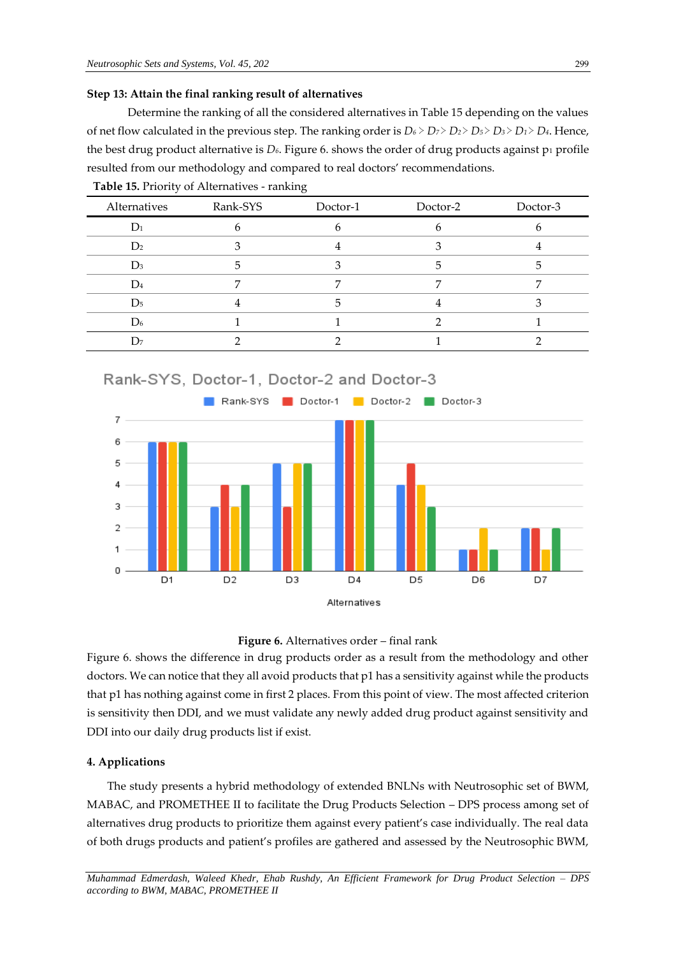#### **Step 13: Attain the final ranking result of alternatives**

Determine the ranking of all the considered alternatives in Table 15 depending on the values of net flow calculated in the previous step. The ranking order is *D<sup>6</sup>* ≻ *D7* ≻ *D2* ≻ *D5* ≻ *D3* ≻ *D1* ≻ *D4*. Hence, the best drug product alternative is  $D_6$ . Figure 6. shows the order of drug products against  $p_1$  profile resulted from our methodology and compared to real doctors' recommendations.

| Alternatives   | Rank-SYS | Doctor-1 | Doctor-2 | Doctor-3 |
|----------------|----------|----------|----------|----------|
| $D_1$          | h        |          |          |          |
| D <sub>2</sub> |          |          |          |          |
| $D_3$          |          |          |          |          |
| $\rm{D}_4$     |          |          |          |          |
| D <sub>5</sub> |          |          |          |          |
| D <sub>6</sub> |          |          |          |          |
| I )7           |          |          |          |          |

**Table 15.** Priority of Alternatives - ranking





Figure 6. shows the difference in drug products order as a result from the methodology and other doctors. We can notice that they all avoid products that p1 has a sensitivity against while the products that p1 has nothing against come in first 2 places. From this point of view. The most affected criterion is sensitivity then DDI, and we must validate any newly added drug product against sensitivity and DDI into our daily drug products list if exist.

#### **4. Applications**

The study presents a hybrid methodology of extended BNLNs with Neutrosophic set of BWM, MABAC, and PROMETHEE II to facilitate the Drug Products Selection – DPS process among set of alternatives drug products to prioritize them against every patient's case individually. The real data of both drugs products and patient's profiles are gathered and assessed by the Neutrosophic BWM,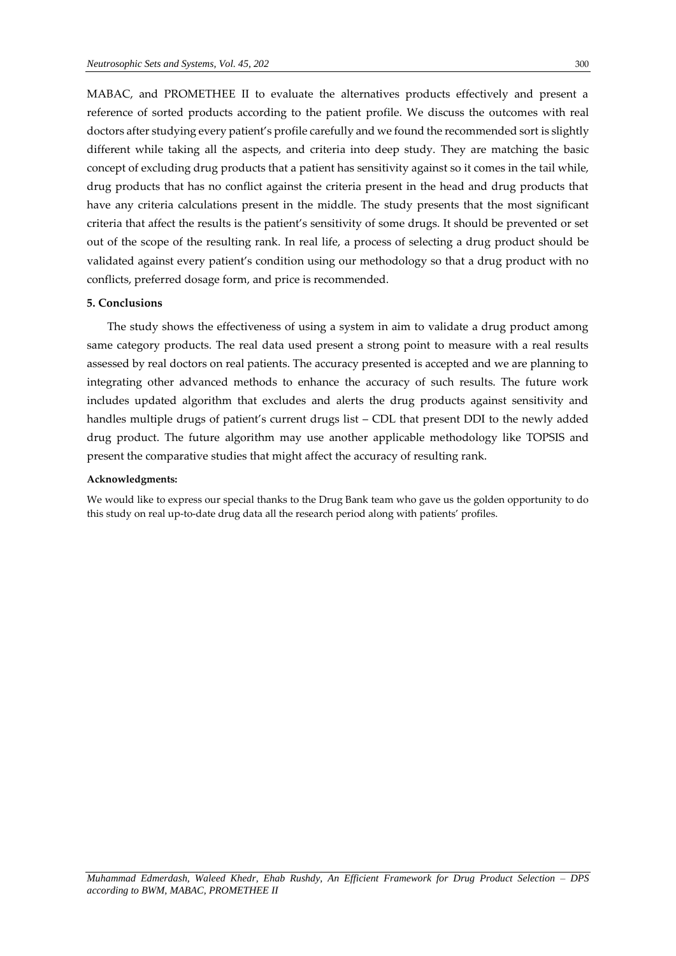MABAC, and PROMETHEE II to evaluate the alternatives products effectively and present a reference of sorted products according to the patient profile. We discuss the outcomes with real doctors after studying every patient's profile carefully and we found the recommended sort is slightly different while taking all the aspects, and criteria into deep study. They are matching the basic concept of excluding drug products that a patient has sensitivity against so it comes in the tail while, drug products that has no conflict against the criteria present in the head and drug products that have any criteria calculations present in the middle. The study presents that the most significant criteria that affect the results is the patient's sensitivity of some drugs. It should be prevented or set out of the scope of the resulting rank. In real life, a process of selecting a drug product should be validated against every patient's condition using our methodology so that a drug product with no conflicts, preferred dosage form, and price is recommended.

# **5. Conclusions**

The study shows the effectiveness of using a system in aim to validate a drug product among same category products. The real data used present a strong point to measure with a real results assessed by real doctors on real patients. The accuracy presented is accepted and we are planning to integrating other advanced methods to enhance the accuracy of such results. The future work includes updated algorithm that excludes and alerts the drug products against sensitivity and handles multiple drugs of patient's current drugs list – CDL that present DDI to the newly added drug product. The future algorithm may use another applicable methodology like TOPSIS and present the comparative studies that might affect the accuracy of resulting rank.

#### **Acknowledgments:**

We would like to express our special thanks to the Drug Bank team who gave us the golden opportunity to do this study on real up-to-date drug data all the research period along with patients' profiles.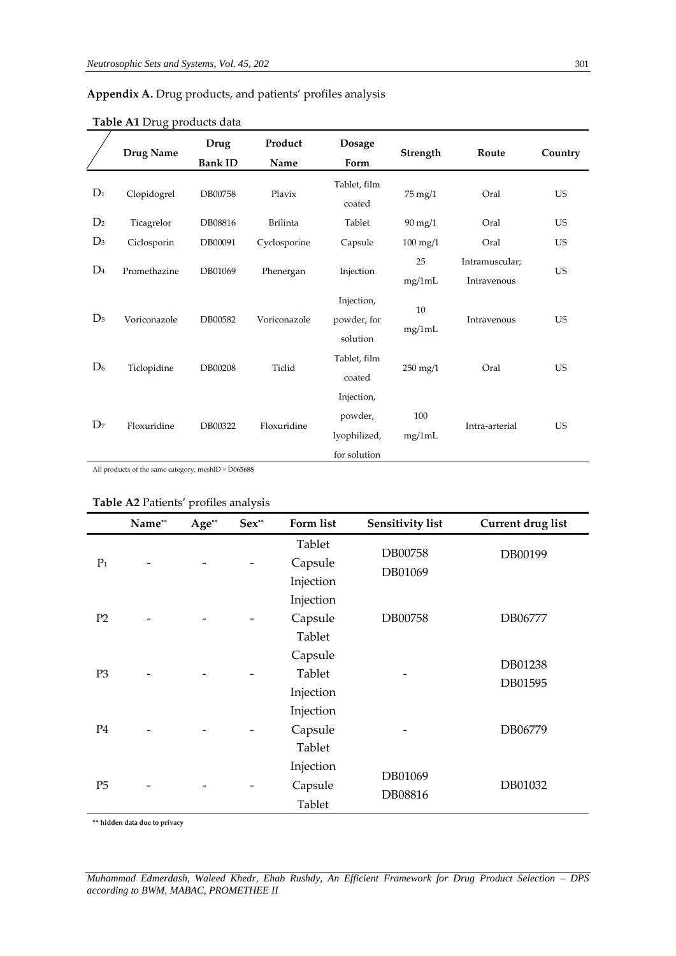# **Appendix A.** Drug products, and patients' profiles analysis

|                | <b>Drug Name</b> | Drug<br><b>Bank ID</b> | Product<br>Name | <b>Dosage</b><br>Form                                 | Strength              | Route                         | Country   |
|----------------|------------------|------------------------|-----------------|-------------------------------------------------------|-----------------------|-------------------------------|-----------|
| $D_1$          | Clopidogrel      | DB00758                | Plavix          | Tablet, film<br>coated                                | $75 \text{ mg}/1$     | Oral                          | <b>US</b> |
| D <sub>2</sub> | Ticagrelor       | DB08816                | <b>Brilinta</b> | Tablet                                                | $90 \text{ mg}/1$     | Oral                          | <b>US</b> |
| $D_3$          | Ciclosporin      | DB00091                | Cyclosporine    | Capsule                                               | $100 \text{ mg}/1$    | Oral                          | <b>US</b> |
| $D_4$          | Promethazine     | DB01069                | Phenergan       | Injection                                             | 25<br>mg/1mL          | Intramuscular;<br>Intravenous | <b>US</b> |
| D <sub>5</sub> | Voriconazole     | DB00582                | Voriconazole    | Injection,<br>powder, for<br>solution                 | 10<br>mg/1mL          | Intravenous                   | <b>US</b> |
| D <sub>6</sub> | Ticlopidine      | DB00208                | Ticlid          | Tablet, film<br>coated                                | $250 \,\mathrm{mg}/1$ | Oral                          | <b>US</b> |
| D <sub>7</sub> | Floxuridine      | DB00322                | Floxuridine     | Injection,<br>powder,<br>lyophilized,<br>for solution | 100<br>mg/1mL         | Intra-arterial                | <b>US</b> |

# **Table A1** Drug products data

All products of the same category, meshID = D065688

# **Table A2** Patients' profiles analysis

|                | Name** | Age** | Sex** | Form list                      | <b>Sensitivity list</b> | <b>Current drug list</b> |
|----------------|--------|-------|-------|--------------------------------|-------------------------|--------------------------|
| $P_1$          |        |       |       | Tablet<br>Capsule<br>Injection | DB00758<br>DB01069      | DB00199                  |
| P <sub>2</sub> |        |       |       | Injection<br>Capsule<br>Tablet | DB00758                 | DB06777                  |
| P <sub>3</sub> |        |       |       | Capsule<br>Tablet<br>Injection |                         | DB01238<br>DB01595       |
| P <sub>4</sub> |        |       |       | Injection<br>Capsule<br>Tablet |                         | DB06779                  |
| P <sub>5</sub> |        |       |       | Injection<br>Capsule<br>Tablet | DB01069<br>DB08816      | DB01032                  |

**\*\* hidden data due to privacy**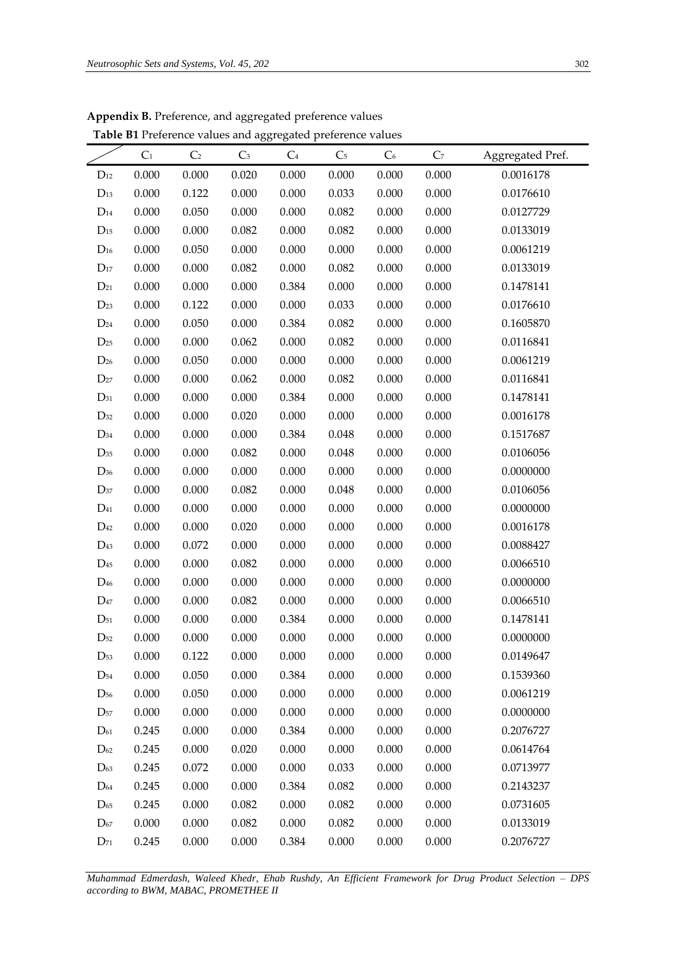|                   |                |                | ppendix B. Preference, and aggregated preference values     |                |                |                |                |                  |
|-------------------|----------------|----------------|-------------------------------------------------------------|----------------|----------------|----------------|----------------|------------------|
|                   |                |                | Table B1 Preference values and aggregated preference values |                |                |                |                |                  |
|                   | C <sub>1</sub> | C <sub>2</sub> | C <sub>3</sub>                                              | C <sub>4</sub> | C <sub>5</sub> | C <sub>6</sub> | C <sub>7</sub> | Aggregated Pref. |
| $\rm D_{12}$      | 0.000          | 0.000          | 0.020                                                       | 0.000          | 0.000          | 0.000          | 0.000          | 0.0016178        |
| $D_{13}$          | 0.000          | 0.122          | 0.000                                                       | 0.000          | 0.033          | 0.000          | 0.000          | 0.0176610        |
| $\rm{D}_{14}$     | 0.000          | 0.050          | 0.000                                                       | 0.000          | 0.082          | 0.000          | 0.000          | 0.0127729        |
| $\rm D_{15}$      | 0.000          | 0.000          | 0.082                                                       | 0.000          | 0.082          | 0.000          | 0.000          | 0.0133019        |
| $\rm D_{16}$      | 0.000          | 0.050          | 0.000                                                       | 0.000          | 0.000          | 0.000          | 0.000          | 0.0061219        |
| $\rm D_{17}$      | 0.000          | 0.000          | 0.082                                                       | 0.000          | 0.082          | 0.000          | 0.000          | 0.0133019        |
| $D_{21}$          | 0.000          | 0.000          | 0.000                                                       | 0.384          | 0.000          | 0.000          | 0.000          | 0.1478141        |
| $D_{23}$          | 0.000          | 0.122          | 0.000                                                       | 0.000          | 0.033          | 0.000          | 0.000          | 0.0176610        |
| $D_{24}$          | 0.000          | 0.050          | 0.000                                                       | 0.384          | 0.082          | 0.000          | 0.000          | 0.1605870        |
| $\mathrm{D}_{25}$ | 0.000          | 0.000          | 0.062                                                       | 0.000          | 0.082          | 0.000          | 0.000          | 0.0116841        |
| $D_{26}$          | 0.000          | 0.050          | 0.000                                                       | 0.000          | 0.000          | 0.000          | 0.000          | 0.0061219        |
| $\mathrm{D}_{27}$ | 0.000          | 0.000          | 0.062                                                       | 0.000          | 0.082          | 0.000          | 0.000          | 0.0116841        |
| $\mathrm{D}_{31}$ | 0.000          | 0.000          | 0.000                                                       | 0.384          | 0.000          | 0.000          | 0.000          | 0.1478141        |
| D32               | 0.000          | 0.000          | 0.020                                                       | 0.000          | 0.000          | 0.000          | 0.000          | 0.0016178        |
| D34               | 0.000          | 0.000          | 0.000                                                       | 0.384          | 0.048          | 0.000          | 0.000          | 0.1517687        |
| $\mathrm{D}_{35}$ | 0.000          | 0.000          | 0.082                                                       | 0.000          | 0.048          | 0.000          | 0.000          | 0.0106056        |
| D <sub>36</sub>   | 0.000          | 0.000          | 0.000                                                       | 0.000          | 0.000          | 0.000          | 0.000          | 0.0000000        |
| D37               | 0.000          | 0.000          | 0.082                                                       | 0.000          | 0.048          | 0.000          | 0.000          | 0.0106056        |
| $\mathrm{D}_{41}$ | 0.000          | 0.000          | 0.000                                                       | 0.000          | 0.000          | 0.000          | 0.000          | 0.0000000        |
| D <sub>42</sub>   | 0.000          | 0.000          | 0.020                                                       | 0.000          | 0.000          | 0.000          | 0.000          | 0.0016178        |
| D43               | 0.000          | 0.072          | 0.000                                                       | 0.000          | 0.000          | 0.000          | 0.000          | 0.0088427        |
| $\mathrm{D}_{45}$ | 0.000          | 0.000          | 0.082                                                       | 0.000          | 0.000          | 0.000          | 0.000          | 0.0066510        |
|                   |                |                |                                                             |                |                |                |                |                  |

**Appendix B.** Preference **Table B1** Preference

| Muhammad Edmerdash, Waleed Khedr, Ehab Rushdy, An Efficient Framework for Drug Product Selection – DPS |  |  |  |  |  |  |  |
|--------------------------------------------------------------------------------------------------------|--|--|--|--|--|--|--|
| according to BWM, MABAC, PROMETHEE II                                                                  |  |  |  |  |  |  |  |

D<sup>46</sup> 0.000 0.000 0.000 0.000 0.000 0.000 0.000 0.0000000 D<sup>47</sup> 0.000 0.000 0.082 0.000 0.000 0.000 0.000 0.0066510 D<sup>51</sup> 0.000 0.000 0.000 0.384 0.000 0.000 0.000 0.1478141 D<sup>52</sup> 0.000 0.000 0.000 0.000 0.000 0.000 0.000 0.0000000 D<sup>53</sup> 0.000 0.122 0.000 0.000 0.000 0.000 0.000 0.0149647 D<sup>54</sup> 0.000 0.050 0.000 0.384 0.000 0.000 0.000 0.1539360 D<sup>56</sup> 0.000 0.050 0.000 0.000 0.000 0.000 0.000 0.0061219 D<sup>57</sup> 0.000 0.000 0.000 0.000 0.000 0.000 0.000 0.0000000 D<sup>61</sup> 0.245 0.000 0.000 0.384 0.000 0.000 0.000 0.2076727 D<sup>62</sup> 0.245 0.000 0.020 0.000 0.000 0.000 0.000 0.0614764 D<sup>63</sup> 0.245 0.072 0.000 0.000 0.033 0.000 0.000 0.0713977 D<sup>64</sup> 0.245 0.000 0.000 0.384 0.082 0.000 0.000 0.2143237 D<sup>65</sup> 0.245 0.000 0.082 0.000 0.082 0.000 0.000 0.0731605 D<sup>67</sup> 0.000 0.000 0.082 0.000 0.082 0.000 0.000 0.0133019 D<sup>71</sup> 0.245 0.000 0.000 0.384 0.000 0.000 0.000 0.2076727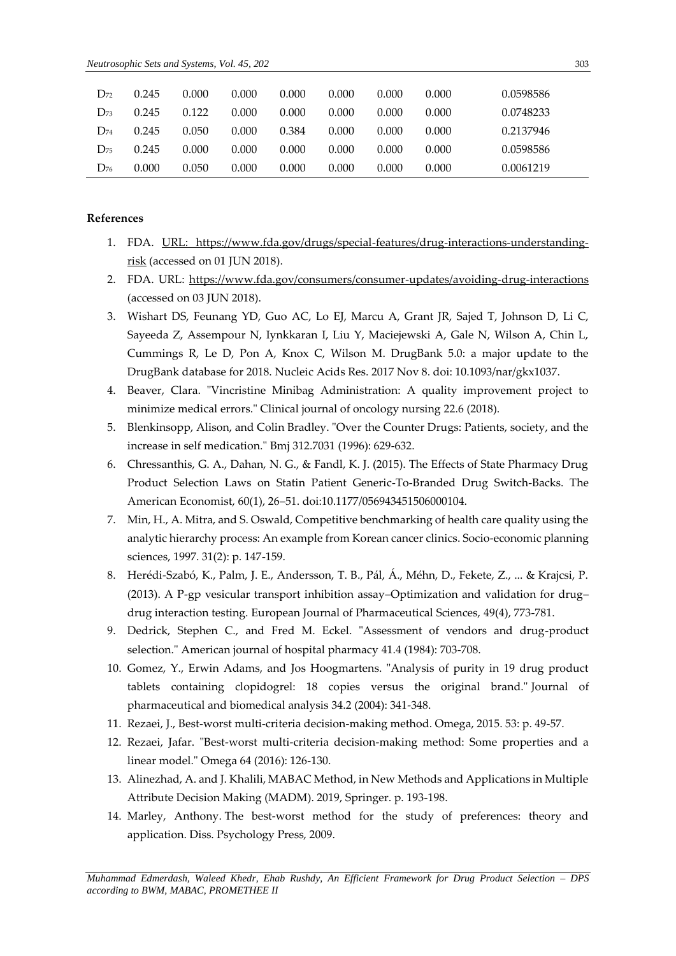| $D_{72}$ | 0.245 | 0.000 | 0.000 | 0.000 | 0.000 | 0.000 | 0.000 | 0.0598586 |
|----------|-------|-------|-------|-------|-------|-------|-------|-----------|
| $D_{73}$ | 0.245 | 0.122 | 0.000 | 0.000 | 0.000 | 0.000 | 0.000 | 0.0748233 |
| $D_{74}$ | 0.245 | 0.050 | 0.000 | 0.384 | 0.000 | 0.000 | 0.000 | 0.2137946 |
| $D_{75}$ | 0.245 | 0.000 | 0.000 | 0.000 | 0.000 | 0.000 | 0.000 | 0.0598586 |
| $D_{76}$ | 0.000 | 0.050 | 0.000 | 0.000 | 0.000 | 0.000 | 0.000 | 0.0061219 |

# **References**

- 1. FDA. [URL: https://www.fda.gov/drugs/special-features/drug-interactions-understanding](https://www.fda.gov/drugs/special-features/drug-interactions-understanding-risk)[risk](https://www.fda.gov/drugs/special-features/drug-interactions-understanding-risk) (accessed on 01 JUN 2018).
- 2. FDA. URL:<https://www.fda.gov/consumers/consumer-updates/avoiding-drug-interactions> (accessed on 03 JUN 2018).
- 3. Wishart DS, Feunang YD, Guo AC, Lo EJ, Marcu A, Grant JR, Sajed T, Johnson D, Li C, Sayeeda Z, Assempour N, Iynkkaran I, Liu Y, Maciejewski A, Gale N, Wilson A, Chin L, Cummings R, Le D, Pon A, Knox C, Wilson M. DrugBank 5.0: a major update to the DrugBank database for 2018. Nucleic Acids Res. 2017 Nov 8. doi: 10.1093/nar/gkx1037.
- 4. Beaver, Clara. "Vincristine Minibag Administration: A quality improvement project to minimize medical errors." Clinical journal of oncology nursing 22.6 (2018).
- 5. Blenkinsopp, Alison, and Colin Bradley. "Over the Counter Drugs: Patients, society, and the increase in self medication." Bmj 312.7031 (1996): 629-632.
- 6. Chressanthis, G. A., Dahan, N. G., & Fandl, K. J. (2015). The Effects of State Pharmacy Drug Product Selection Laws on Statin Patient Generic-To-Branded Drug Switch-Backs. The American Economist, 60(1), 26–51. doi:10.1177/056943451506000104.
- 7. Min, H., A. Mitra, and S. Oswald, Competitive benchmarking of health care quality using the analytic hierarchy process: An example from Korean cancer clinics. Socio-economic planning sciences, 1997. 31(2): p. 147-159.
- 8. Herédi-Szabó, K., Palm, J. E., Andersson, T. B., Pál, Á., Méhn, D., Fekete, Z., ... & Krajcsi, P. (2013). A P-gp vesicular transport inhibition assay–Optimization and validation for drug– drug interaction testing. European Journal of Pharmaceutical Sciences, 49(4), 773-781.
- 9. Dedrick, Stephen C., and Fred M. Eckel. "Assessment of vendors and drug-product selection." American journal of hospital pharmacy 41.4 (1984): 703-708.
- 10. Gomez, Y., Erwin Adams, and Jos Hoogmartens. "Analysis of purity in 19 drug product tablets containing clopidogrel: 18 copies versus the original brand." Journal of pharmaceutical and biomedical analysis 34.2 (2004): 341-348.
- 11. Rezaei, J., Best-worst multi-criteria decision-making method. Omega, 2015. 53: p. 49-57.
- 12. Rezaei, Jafar. "Best-worst multi-criteria decision-making method: Some properties and a linear model." Omega 64 (2016): 126-130.
- 13. Alinezhad, A. and J. Khalili, MABAC Method, in New Methods and Applications in Multiple Attribute Decision Making (MADM). 2019, Springer. p. 193-198.
- 14. Marley, Anthony. The best-worst method for the study of preferences: theory and application. Diss. Psychology Press, 2009.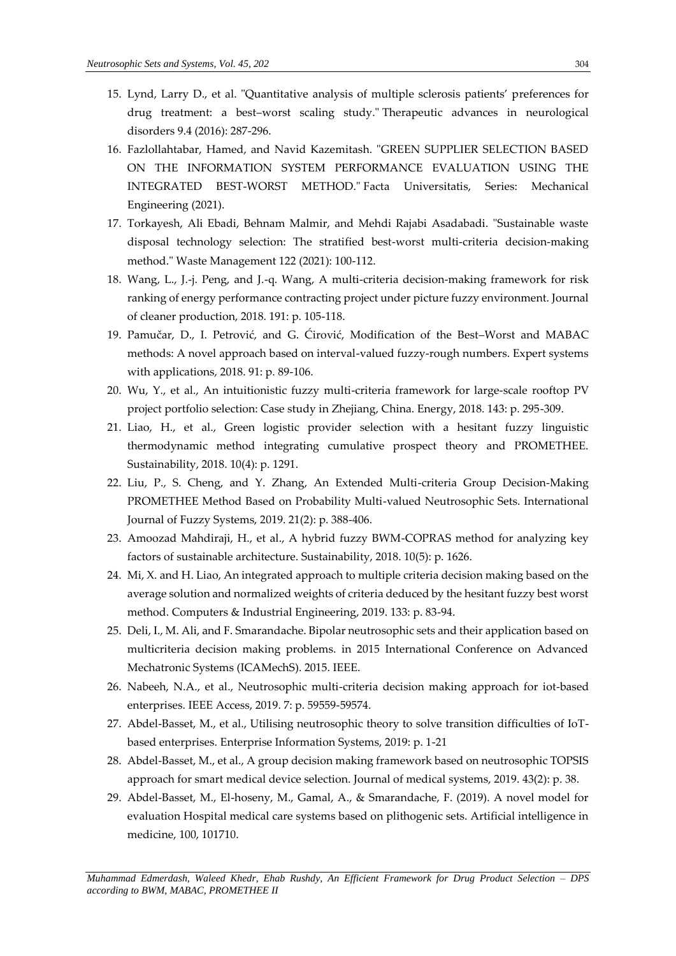- 15. Lynd, Larry D., et al. "Quantitative analysis of multiple sclerosis patients' preferences for drug treatment: a best–worst scaling study." Therapeutic advances in neurological disorders 9.4 (2016): 287-296.
- 16. Fazlollahtabar, Hamed, and Navid Kazemitash. "GREEN SUPPLIER SELECTION BASED ON THE INFORMATION SYSTEM PERFORMANCE EVALUATION USING THE INTEGRATED BEST-WORST METHOD." Facta Universitatis, Series: Mechanical Engineering (2021).
- 17. Torkayesh, Ali Ebadi, Behnam Malmir, and Mehdi Rajabi Asadabadi. "Sustainable waste disposal technology selection: The stratified best-worst multi-criteria decision-making method." Waste Management 122 (2021): 100-112.
- 18. Wang, L., J.-j. Peng, and J.-q. Wang, A multi-criteria decision-making framework for risk ranking of energy performance contracting project under picture fuzzy environment. Journal of cleaner production, 2018. 191: p. 105-118.
- 19. Pamučar, D., I. Petrović, and G. Ćirović, Modification of the Best–Worst and MABAC methods: A novel approach based on interval-valued fuzzy-rough numbers. Expert systems with applications, 2018. 91: p. 89-106.
- 20. Wu, Y., et al., An intuitionistic fuzzy multi-criteria framework for large-scale rooftop PV project portfolio selection: Case study in Zhejiang, China. Energy, 2018. 143: p. 295-309.
- 21. Liao, H., et al., Green logistic provider selection with a hesitant fuzzy linguistic thermodynamic method integrating cumulative prospect theory and PROMETHEE. Sustainability, 2018. 10(4): p. 1291.
- 22. Liu, P., S. Cheng, and Y. Zhang, An Extended Multi-criteria Group Decision-Making PROMETHEE Method Based on Probability Multi-valued Neutrosophic Sets. International Journal of Fuzzy Systems, 2019. 21(2): p. 388-406.
- 23. Amoozad Mahdiraji, H., et al., A hybrid fuzzy BWM-COPRAS method for analyzing key factors of sustainable architecture. Sustainability, 2018. 10(5): p. 1626.
- 24. Mi, X. and H. Liao, An integrated approach to multiple criteria decision making based on the average solution and normalized weights of criteria deduced by the hesitant fuzzy best worst method. Computers & Industrial Engineering, 2019. 133: p. 83-94.
- 25. Deli, I., M. Ali, and F. Smarandache. Bipolar neutrosophic sets and their application based on multicriteria decision making problems. in 2015 International Conference on Advanced Mechatronic Systems (ICAMechS). 2015. IEEE.
- 26. Nabeeh, N.A., et al., Neutrosophic multi-criteria decision making approach for iot-based enterprises. IEEE Access, 2019. 7: p. 59559-59574.
- 27. Abdel-Basset, M., et al., Utilising neutrosophic theory to solve transition difficulties of IoTbased enterprises. Enterprise Information Systems, 2019: p. 1-21
- 28. Abdel-Basset, M., et al., A group decision making framework based on neutrosophic TOPSIS approach for smart medical device selection. Journal of medical systems, 2019. 43(2): p. 38.
- 29. Abdel-Basset, M., El-hoseny, M., Gamal, A., & Smarandache, F. (2019). A novel model for evaluation Hospital medical care systems based on plithogenic sets. Artificial intelligence in medicine, 100, 101710.

*Muhammad Edmerdash, Waleed Khedr, Ehab Rushdy, An Efficient Framework for Drug Product Selection – DPS according to BWM, MABAC, PROMETHEE II*